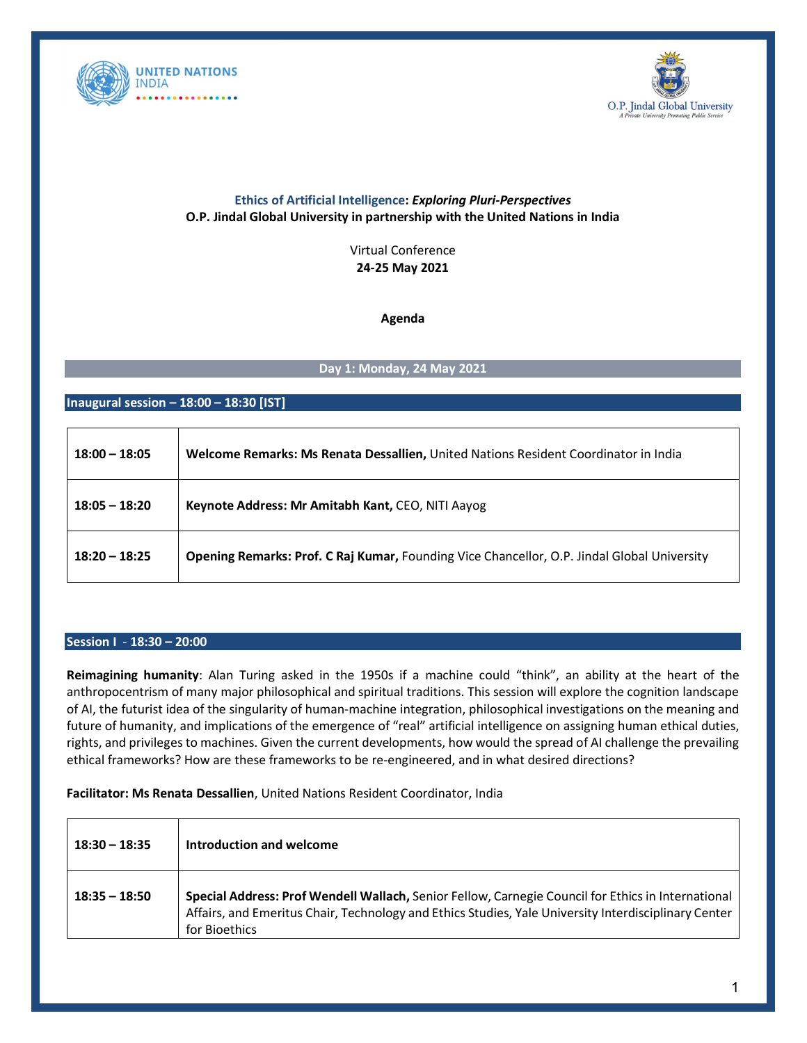



# **Ethics of Artificial Intelligence:** *Exploring Pluri-Perspectives* **O.P. Jindal Global University in partnership with the United Nations in India**

Virtual Conference **24-25 May 2021**

**Agenda**

## **Day 1: Monday, 24 May 2021**

### **Inaugural session – 18:00 – 18:30 [IST]**

| $18:00 - 18:05$ | Welcome Remarks: Ms Renata Dessallien, United Nations Resident Coordinator in India         |
|-----------------|---------------------------------------------------------------------------------------------|
| $18:05 - 18:20$ | Keynote Address: Mr Amitabh Kant, CEO, NITI Aayog                                           |
| $18:20 - 18:25$ | Opening Remarks: Prof. C Raj Kumar, Founding Vice Chancellor, O.P. Jindal Global University |

#### **Session I** - **18:30 – 20:00**

**Reimagining humanity**: Alan Turing asked in the 1950s if a machine could "think", an ability at the heart of the anthropocentrism of many major philosophical and spiritual traditions. This session will explore the cognition landscape of AI, the futurist idea of the singularity of human-machine integration, philosophical investigations on the meaning and future of humanity, and implications of the emergence of "real" artificial intelligence on assigning human ethical duties, rights, and privileges to machines. Given the current developments, how would the spread of AI challenge the prevailing ethical frameworks? How are these frameworks to be re-engineered, and in what desired directions?

### **Facilitator: Ms Renata Dessallien**, United Nations Resident Coordinator, India

| $18:30 - 18:35$ | Introduction and welcome                                                                                                                                                                                                    |
|-----------------|-----------------------------------------------------------------------------------------------------------------------------------------------------------------------------------------------------------------------------|
| $18:35 - 18:50$ | Special Address: Prof Wendell Wallach, Senior Fellow, Carnegie Council for Ethics in International<br>Affairs, and Emeritus Chair, Technology and Ethics Studies, Yale University Interdisciplinary Center<br>for Bioethics |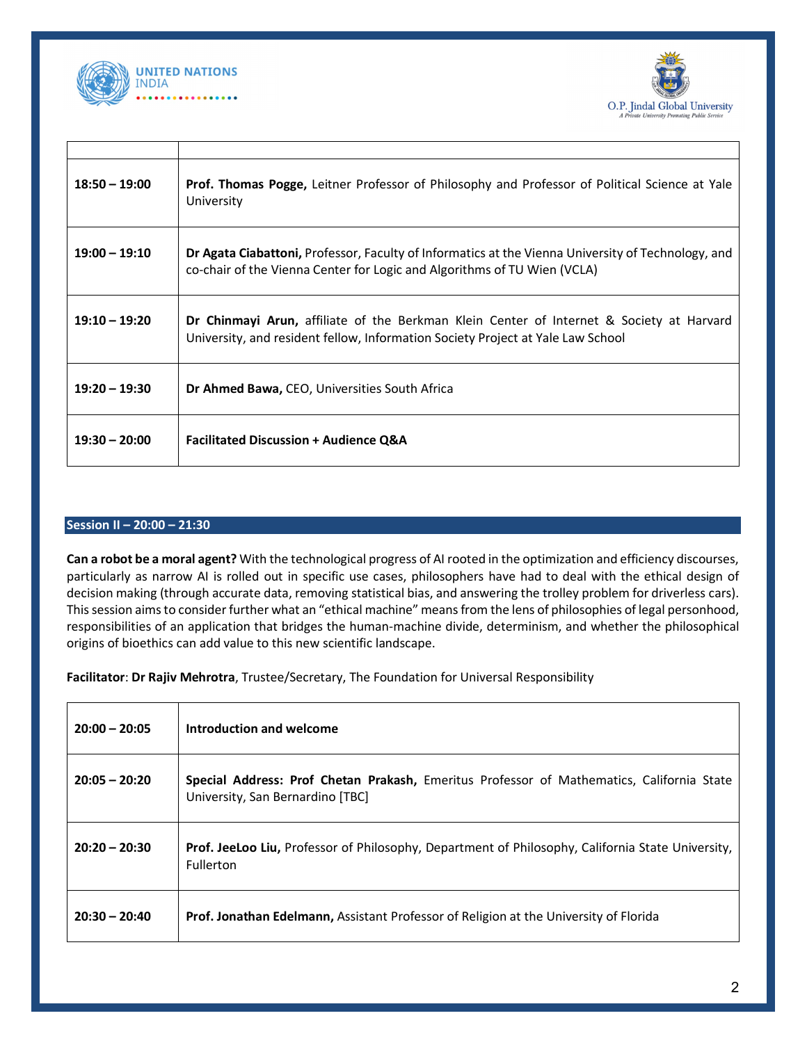



| $18:50 - 19:00$ | Prof. Thomas Pogge, Leitner Professor of Philosophy and Professor of Political Science at Yale<br>University                                                                   |
|-----------------|--------------------------------------------------------------------------------------------------------------------------------------------------------------------------------|
| $19:00 - 19:10$ | Dr Agata Ciabattoni, Professor, Faculty of Informatics at the Vienna University of Technology, and<br>co-chair of the Vienna Center for Logic and Algorithms of TU Wien (VCLA) |
| $19:10 - 19:20$ | Dr Chinmayi Arun, affiliate of the Berkman Klein Center of Internet & Society at Harvard<br>University, and resident fellow, Information Society Project at Yale Law School    |
| $19:20 - 19:30$ | <b>Dr Ahmed Bawa, CEO, Universities South Africa</b>                                                                                                                           |
| $19:30 - 20:00$ | <b>Facilitated Discussion + Audience Q&amp;A</b>                                                                                                                               |

# **Session II – 20:00 – 21:30**

**Can a robot be a moral agent?** With the technological progress of AI rooted in the optimization and efficiency discourses, particularly as narrow AI is rolled out in specific use cases, philosophers have had to deal with the ethical design of decision making (through accurate data, removing statistical bias, and answering the trolley problem for driverless cars). This session aims to consider further what an "ethical machine" means from the lens of philosophies of legal personhood, responsibilities of an application that bridges the human-machine divide, determinism, and whether the philosophical origins of bioethics can add value to this new scientific landscape.

**Facilitator**: **Dr Rajiv Mehrotra**, Trustee/Secretary, The Foundation for Universal Responsibility

| $20:00 - 20:05$ | Introduction and welcome                                                                                                      |
|-----------------|-------------------------------------------------------------------------------------------------------------------------------|
| $20:05 - 20:20$ | Special Address: Prof Chetan Prakash, Emeritus Professor of Mathematics, California State<br>University, San Bernardino [TBC] |
| $20:20 - 20:30$ | Prof. JeeLoo Liu, Professor of Philosophy, Department of Philosophy, California State University,<br>Fullerton                |
| $20:30 - 20:40$ | <b>Prof. Jonathan Edelmann, Assistant Professor of Religion at the University of Florida</b>                                  |